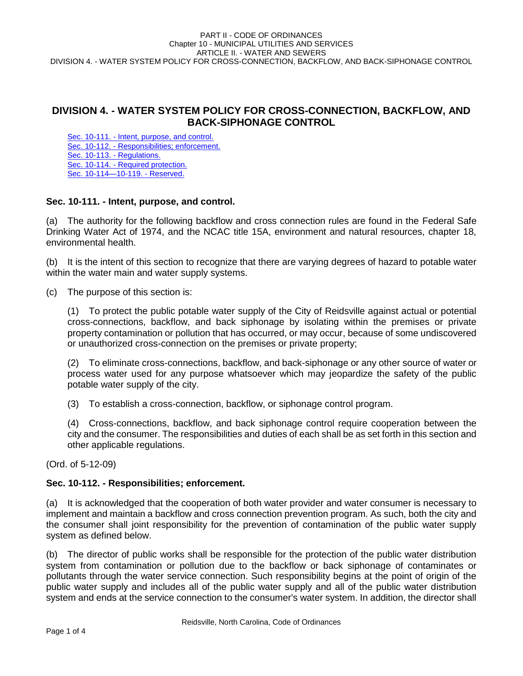# **DIVISION 4. - WATER SYSTEM POLICY FOR CROSS-CONNECTION, BACKFLOW, AND BACK-SIPHONAGE CONTROL**

Sec. 10-111. - [Intent, purpose, and control.](#page-0-0) Sec. 10-112. - [Responsibilities; enforcement.](#page-0-1) [Sec. 10-113. -](#page-1-0) Regulations. Sec. 10-114. - [Required protection.](#page-3-0) Sec. 10-114—10-119. - Reserved.

## <span id="page-0-0"></span>**Sec. 10-111. - Intent, purpose, and control.**

(a) The authority for the following backflow and cross connection rules are found in the Federal Safe Drinking Water Act of 1974, and the NCAC title 15A, environment and natural resources, chapter 18, environmental health.

(b) It is the intent of this section to recognize that there are varying degrees of hazard to potable water within the water main and water supply systems.

(c) The purpose of this section is:

(1) To protect the public potable water supply of the City of Reidsville against actual or potential cross-connections, backflow, and back siphonage by isolating within the premises or private property contamination or pollution that has occurred, or may occur, because of some undiscovered or unauthorized cross-connection on the premises or private property;

(2) To eliminate cross-connections, backflow, and back-siphonage or any other source of water or process water used for any purpose whatsoever which may jeopardize the safety of the public potable water supply of the city.

(3) To establish a cross-connection, backflow, or siphonage control program.

(4) Cross-connections, backflow, and back siphonage control require cooperation between the city and the consumer. The responsibilities and duties of each shall be as set forth in this section and other applicable regulations.

(Ord. of 5-12-09)

## <span id="page-0-1"></span>**Sec. 10-112. - Responsibilities; enforcement.**

(a) It is acknowledged that the cooperation of both water provider and water consumer is necessary to implement and maintain a backflow and cross connection prevention program. As such, both the city and the consumer shall joint responsibility for the prevention of contamination of the public water supply system as defined below.

(b) The director of public works shall be responsible for the protection of the public water distribution system from contamination or pollution due to the backflow or back siphonage of contaminates or pollutants through the water service connection. Such responsibility begins at the point of origin of the public water supply and includes all of the public water supply and all of the public water distribution system and ends at the service connection to the consumer's water system. In addition, the director shall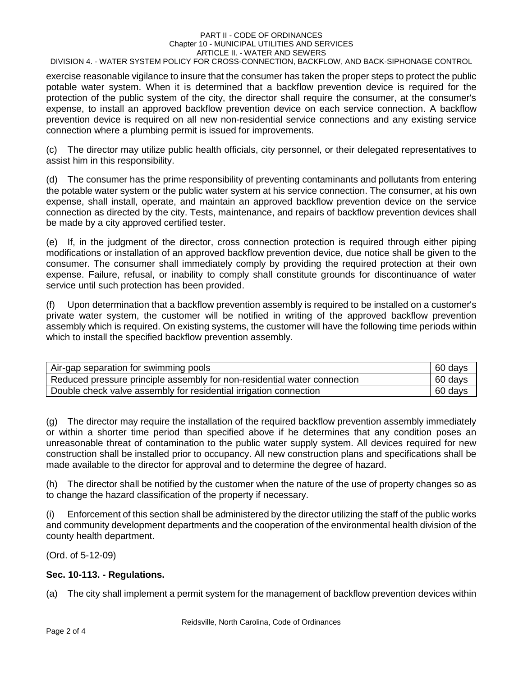#### PART II - CODE OF ORDINANCES Chapter 10 - MUNICIPAL UTILITIES AND SERVICES ARTICLE II. - WATER AND SEWERS

DIVISION 4. - WATER SYSTEM POLICY FOR CROSS-CONNECTION, BACKFLOW, AND BACK-SIPHONAGE CONTROL

exercise reasonable vigilance to insure that the consumer has taken the proper steps to protect the public potable water system. When it is determined that a backflow prevention device is required for the protection of the public system of the city, the director shall require the consumer, at the consumer's expense, to install an approved backflow prevention device on each service connection. A backflow prevention device is required on all new non-residential service connections and any existing service connection where a plumbing permit is issued for improvements.

(c) The director may utilize public health officials, city personnel, or their delegated representatives to assist him in this responsibility.

(d) The consumer has the prime responsibility of preventing contaminants and pollutants from entering the potable water system or the public water system at his service connection. The consumer, at his own expense, shall install, operate, and maintain an approved backflow prevention device on the service connection as directed by the city. Tests, maintenance, and repairs of backflow prevention devices shall be made by a city approved certified tester.

(e) If, in the judgment of the director, cross connection protection is required through either piping modifications or installation of an approved backflow prevention device, due notice shall be given to the consumer. The consumer shall immediately comply by providing the required protection at their own expense. Failure, refusal, or inability to comply shall constitute grounds for discontinuance of water service until such protection has been provided.

(f) Upon determination that a backflow prevention assembly is required to be installed on a customer's private water system, the customer will be notified in writing of the approved backflow prevention assembly which is required. On existing systems, the customer will have the following time periods within which to install the specified backflow prevention assembly.

| Air-gap separation for swimming pools                                    | 60 days |
|--------------------------------------------------------------------------|---------|
| Reduced pressure principle assembly for non-residential water connection | 60 days |
| Double check valve assembly for residential irrigation connection        | 60 days |

(g) The director may require the installation of the required backflow prevention assembly immediately or within a shorter time period than specified above if he determines that any condition poses an unreasonable threat of contamination to the public water supply system. All devices required for new construction shall be installed prior to occupancy. All new construction plans and specifications shall be made available to the director for approval and to determine the degree of hazard.

(h) The director shall be notified by the customer when the nature of the use of property changes so as to change the hazard classification of the property if necessary.

(i) Enforcement of this section shall be administered by the director utilizing the staff of the public works and community development departments and the cooperation of the environmental health division of the county health department.

(Ord. of 5-12-09)

## <span id="page-1-0"></span>**Sec. 10-113. - Regulations.**

(a) The city shall implement a permit system for the management of backflow prevention devices within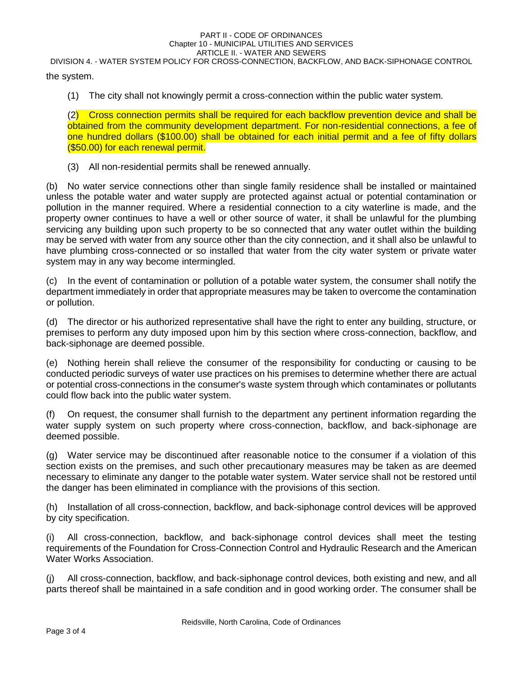#### PART II - CODE OF ORDINANCES Chapter 10 - MUNICIPAL UTILITIES AND SERVICES ARTICLE II. - WATER AND SEWERS

DIVISION 4. - WATER SYSTEM POLICY FOR CROSS-CONNECTION, BACKFLOW, AND BACK-SIPHONAGE CONTROL the system.

(1) The city shall not knowingly permit a cross-connection within the public water system.

(2) Cross connection permits shall be required for each backflow prevention device and shall be obtained from the community development department. For non-residential connections, a fee of one hundred dollars (\$100.00) shall be obtained for each initial permit and a fee of fifty dollars (\$50.00) for each renewal permit.

(3) All non-residential permits shall be renewed annually.

(b) No water service connections other than single family residence shall be installed or maintained unless the potable water and water supply are protected against actual or potential contamination or pollution in the manner required. Where a residential connection to a city waterline is made, and the property owner continues to have a well or other source of water, it shall be unlawful for the plumbing servicing any building upon such property to be so connected that any water outlet within the building may be served with water from any source other than the city connection, and it shall also be unlawful to have plumbing cross-connected or so installed that water from the city water system or private water system may in any way become intermingled.

(c) In the event of contamination or pollution of a potable water system, the consumer shall notify the department immediately in order that appropriate measures may be taken to overcome the contamination or pollution.

(d) The director or his authorized representative shall have the right to enter any building, structure, or premises to perform any duty imposed upon him by this section where cross-connection, backflow, and back-siphonage are deemed possible.

(e) Nothing herein shall relieve the consumer of the responsibility for conducting or causing to be conducted periodic surveys of water use practices on his premises to determine whether there are actual or potential cross-connections in the consumer's waste system through which contaminates or pollutants could flow back into the public water system.

(f) On request, the consumer shall furnish to the department any pertinent information regarding the water supply system on such property where cross-connection, backflow, and back-siphonage are deemed possible.

(g) Water service may be discontinued after reasonable notice to the consumer if a violation of this section exists on the premises, and such other precautionary measures may be taken as are deemed necessary to eliminate any danger to the potable water system. Water service shall not be restored until the danger has been eliminated in compliance with the provisions of this section.

(h) Installation of all cross-connection, backflow, and back-siphonage control devices will be approved by city specification.

(i) All cross-connection, backflow, and back-siphonage control devices shall meet the testing requirements of the Foundation for Cross-Connection Control and Hydraulic Research and the American Water Works Association.

(j) All cross-connection, backflow, and back-siphonage control devices, both existing and new, and all parts thereof shall be maintained in a safe condition and in good working order. The consumer shall be